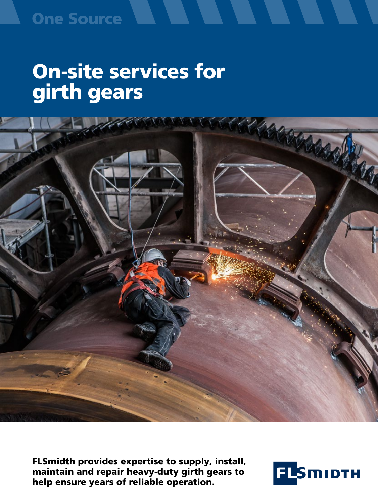### **One Source**

# On-site services for girth gears



FLSmidth provides expertise to supply, install, maintain and repair heavy-duty girth gears to help ensure years of reliable operation.